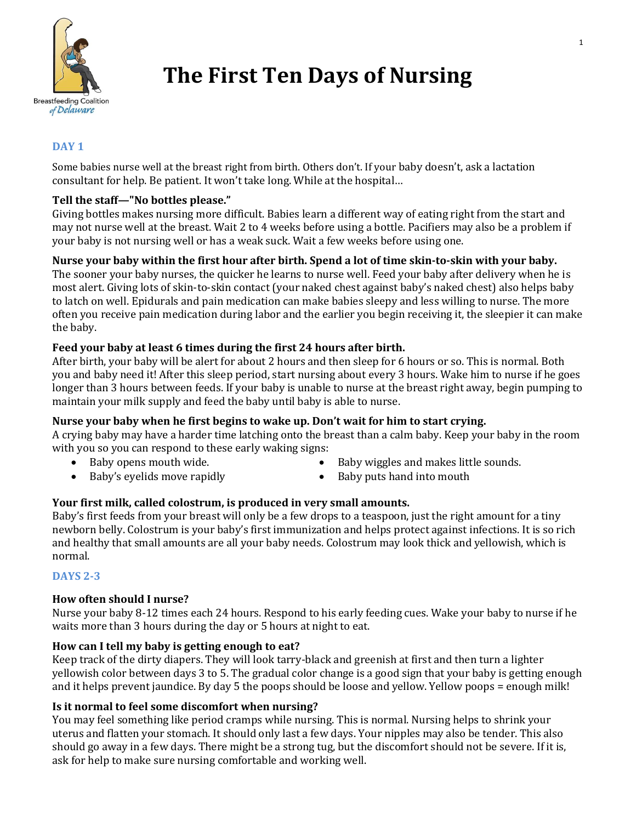

# **The First Ten Days of Nursing**

## **DAY 1**

Some babies nurse well at the breast right from birth. Others don't. If your baby doesn't, ask a lactation consultant for help. Be patient. It won't take long. While at the hospital…

## **Tell the staff—"No bottles please."**

Giving bottles makes nursing more difficult. Babies learn a different way of eating right from the start and may not nurse well at the breast. Wait 2 to 4 weeks before using a bottle. Pacifiers may also be a problem if your baby is not nursing well or has a weak suck. Wait a few weeks before using one.

## **Nurse your baby within the first hour after birth. Spend a lot of time skin-to-skin with your baby.**

The sooner your baby nurses, the quicker he learns to nurse well. Feed your baby after delivery when he is most alert. Giving lots of skin-to-skin contact (your naked chest against baby's naked chest) also helps baby to latch on well. Epidurals and pain medication can make babies sleepy and less willing to nurse. The more often you receive pain medication during labor and the earlier you begin receiving it, the sleepier it can make the baby.

## **Feed your baby at least 6 times during the first 24 hours after birth.**

After birth, your baby will be alert for about 2 hours and then sleep for 6 hours or so. This is normal. Both you and baby need it! After this sleep period, start nursing about every 3 hours. Wake him to nurse if he goes longer than 3 hours between feeds. If your baby is unable to nurse at the breast right away, begin pumping to maintain your milk supply and feed the baby until baby is able to nurse.

## **Nurse your baby when he first begins to wake up. Don't wait for him to start crying.**

A crying baby may have a harder time latching onto the breast than a calm baby. Keep your baby in the room with you so you can respond to these early waking signs:

- 
- Baby opens mouth wide. <br>• Baby wiggles and makes little sounds.
- Baby's eyelids move rapidly **Example 1** Baby puts hand into mouth
- 

# **Your first milk, called colostrum, is produced in very small amounts.**

Baby's first feeds from your breast will only be a few drops to a teaspoon, just the right amount for a tiny newborn belly. Colostrum is your baby's first immunization and helps protect against infections. It is so rich and healthy that small amounts are all your baby needs. Colostrum may look thick and yellowish, which is normal.

## **DAYS 2-3**

## **How often should I nurse?**

Nurse your baby 8-12 times each 24 hours. Respond to his early feeding cues. Wake your baby to nurse if he waits more than 3 hours during the day or 5 hours at night to eat.

# **How can I tell my baby is getting enough to eat?**

Keep track of the dirty diapers. They will look tarry-black and greenish at first and then turn a lighter yellowish color between days 3 to 5. The gradual color change is a good sign that your baby is getting enough and it helps prevent jaundice. By day 5 the poops should be loose and yellow. Yellow poops = enough milk!

## **Is it normal to feel some discomfort when nursing?**

You may feel something like period cramps while nursing. This is normal. Nursing helps to shrink your uterus and flatten your stomach. It should only last a few days. Your nipples may also be tender. This also should go away in a few days. There might be a strong tug, but the discomfort should not be severe. If it is, ask for help to make sure nursing comfortable and working well.